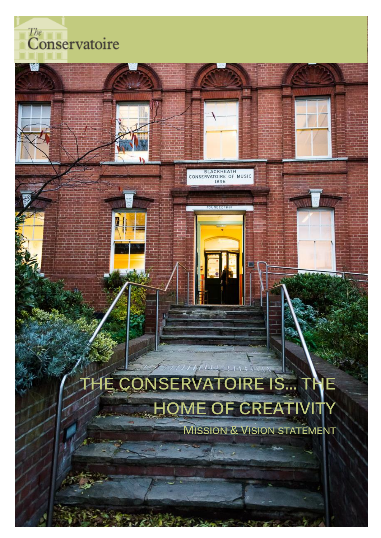$\overline{\overset{\textit{The}}{\textbf{Conservative}}}$ 



BLACKHEATH<br>CONSERVATOIRE OF MUSIC

# THE CONSERVATOIRE IS... T HOME OF CREATIVITY

**MISSION & VISION STATEMENT**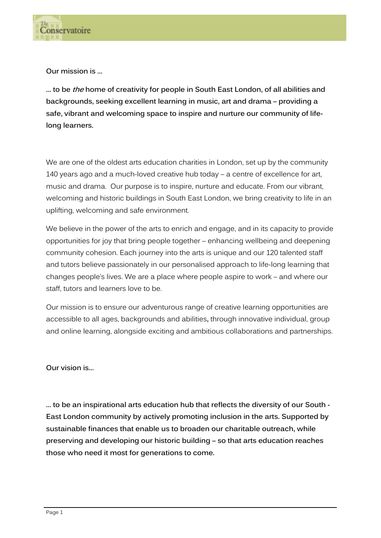

**Our mission is …**

**… to be the home of creativity for people in South East London, of all abilities and backgrounds, seeking excellent learning in music, art and drama – providing a safe, vibrant and welcoming space to inspire and nurture our community of lifelong learners.**

We are one of the oldest arts education charities in London, set up by the community 140 years ago and a much-loved creative hub today – a centre of excellence for art, music and drama. Our purpose is to inspire, nurture and educate. From our vibrant, welcoming and historic buildings in South East London, we bring creativity to life in an uplifting, welcoming and safe environment.

We believe in the power of the arts to enrich and engage, and in its capacity to provide opportunities for joy that bring people together – enhancing wellbeing and deepening community cohesion. Each journey into the arts is unique and our 120 talented staff and tutors believe passionately in our personalised approach to life-long learning that changes people's lives. We are a place where people aspire to work – and where our staff, tutors and learners love to be.

Our mission is to ensure our adventurous range of creative learning opportunities are accessible to all ages, backgrounds and abilities**,** through innovative individual, group and online learning, alongside exciting and ambitious collaborations and partnerships.

**Our vision is…**

**… to be an inspirational arts education hub that reflects the diversity of our South - East London community by actively promoting inclusion in the arts. Supported by sustainable finances that enable us to broaden our charitable outreach, while preserving and developing our historic building – so that arts education reaches those who need it most for generations to come.**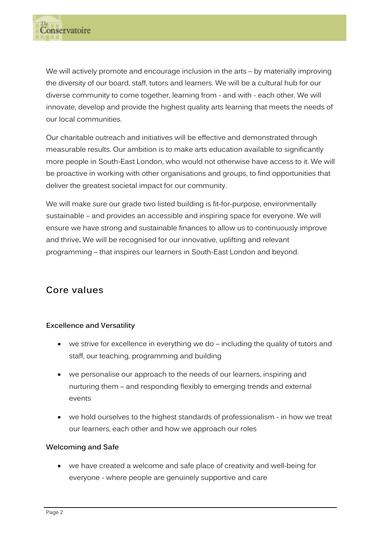We will actively promote and encourage inclusion in the arts – by materially improving the diversity of our board, staff, tutors and learners. We will be a cultural hub for our diverse community to come together, learning from - and with - each other. We will innovate, develop and provide the highest quality arts learning that meets the needs of our local communities.

Our charitable outreach and initiatives will be effective and demonstrated through measurable results. Our ambition is to make arts education available to significantly more people in South-East London, who would not otherwise have access to it. We will be proactive in working with other organisations and groups, to find opportunities that deliver the greatest societal impact for our community.

We will make sure our grade two listed building is fit-for-purpose, environmentally sustainable – and provides an accessible and inspiring space for everyone. We will ensure we have strong and sustainable finances to allow us to continuously improve and thrive**.** We will be recognised for our innovative, uplifting and relevant programming – that inspires our learners in South-East London and beyond.

# **Core values**

# **Excellence and Versatility**

- we strive for excellence in everything we do including the quality of tutors and staff, our teaching, programming and building
- we personalise our approach to the needs of our learners, inspiring and nurturing them – and responding flexibly to emerging trends and external events
- we hold ourselves to the highest standards of professionalism in how we treat our learners, each other and how we approach our roles

## **Welcoming and Safe**

• we have created a welcome and safe place of creativity and well-being for everyone - where people are genuinely supportive and care